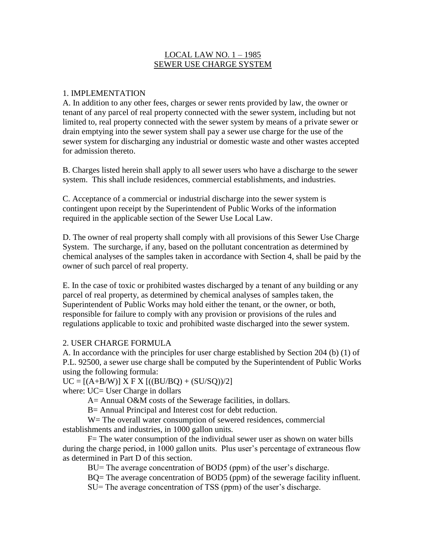#### LOCAL LAW NO. 1 – 1985 SEWER USE CHARGE SYSTEM

#### 1. IMPLEMENTATION

A. In addition to any other fees, charges or sewer rents provided by law, the owner or tenant of any parcel of real property connected with the sewer system, including but not limited to, real property connected with the sewer system by means of a private sewer or drain emptying into the sewer system shall pay a sewer use charge for the use of the sewer system for discharging any industrial or domestic waste and other wastes accepted for admission thereto.

B. Charges listed herein shall apply to all sewer users who have a discharge to the sewer system. This shall include residences, commercial establishments, and industries.

C. Acceptance of a commercial or industrial discharge into the sewer system is contingent upon receipt by the Superintendent of Public Works of the information required in the applicable section of the Sewer Use Local Law.

D. The owner of real property shall comply with all provisions of this Sewer Use Charge System. The surcharge, if any, based on the pollutant concentration as determined by chemical analyses of the samples taken in accordance with Section 4, shall be paid by the owner of such parcel of real property.

E. In the case of toxic or prohibited wastes discharged by a tenant of any building or any parcel of real property, as determined by chemical analyses of samples taken, the Superintendent of Public Works may hold either the tenant, or the owner, or both, responsible for failure to comply with any provision or provisions of the rules and regulations applicable to toxic and prohibited waste discharged into the sewer system.

#### 2. USER CHARGE FORMULA

A. In accordance with the principles for user charge established by Section 204 (b) (1) of P.L. 92500, a sewer use charge shall be computed by the Superintendent of Public Works using the following formula:

 $UC = [(A+B/W)] X FX [(BU/BQ) + (SU/SQ))/2]$ where: UC= User Charge in dollars

A = Annual O&M costs of the Sewerage facilities, in dollars.

B= Annual Principal and Interest cost for debt reduction.

W = The overall water consumption of sewered residences, commercial establishments and industries, in 1000 gallon units.

F= The water consumption of the individual sewer user as shown on water bills during the charge period, in 1000 gallon units. Plus user's percentage of extraneous flow as determined in Part D of this section.

BU= The average concentration of BOD5 (ppm) of the user's discharge.

BQ= The average concentration of BOD5 (ppm) of the sewerage facility influent.

SU= The average concentration of TSS (ppm) of the user's discharge.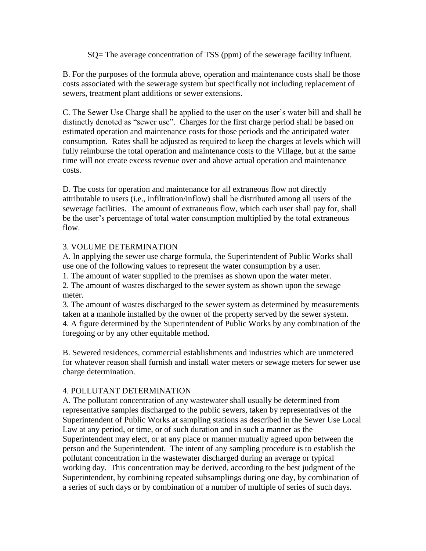SQ= The average concentration of TSS (ppm) of the sewerage facility influent.

B. For the purposes of the formula above, operation and maintenance costs shall be those costs associated with the sewerage system but specifically not including replacement of sewers, treatment plant additions or sewer extensions.

C. The Sewer Use Charge shall be applied to the user on the user's water bill and shall be distinctly denoted as "sewer use". Charges for the first charge period shall be based on estimated operation and maintenance costs for those periods and the anticipated water consumption. Rates shall be adjusted as required to keep the charges at levels which will fully reimburse the total operation and maintenance costs to the Village, but at the same time will not create excess revenue over and above actual operation and maintenance costs.

D. The costs for operation and maintenance for all extraneous flow not directly attributable to users (i.e., infiltration/inflow) shall be distributed among all users of the sewerage facilities. The amount of extraneous flow, which each user shall pay for, shall be the user's percentage of total water consumption multiplied by the total extraneous flow.

# 3. VOLUME DETERMINATION

A. In applying the sewer use charge formula, the Superintendent of Public Works shall use one of the following values to represent the water consumption by a user.

1. The amount of water supplied to the premises as shown upon the water meter.

2. The amount of wastes discharged to the sewer system as shown upon the sewage meter.

3. The amount of wastes discharged to the sewer system as determined by measurements taken at a manhole installed by the owner of the property served by the sewer system. 4. A figure determined by the Superintendent of Public Works by any combination of the foregoing or by any other equitable method.

B. Sewered residences, commercial establishments and industries which are unmetered for whatever reason shall furnish and install water meters or sewage meters for sewer use charge determination.

# 4. POLLUTANT DETERMINATION

A. The pollutant concentration of any wastewater shall usually be determined from representative samples discharged to the public sewers, taken by representatives of the Superintendent of Public Works at sampling stations as described in the Sewer Use Local Law at any period, or time, or of such duration and in such a manner as the Superintendent may elect, or at any place or manner mutually agreed upon between the person and the Superintendent. The intent of any sampling procedure is to establish the pollutant concentration in the wastewater discharged during an average or typical working day. This concentration may be derived, according to the best judgment of the Superintendent, by combining repeated subsamplings during one day, by combination of a series of such days or by combination of a number of multiple of series of such days.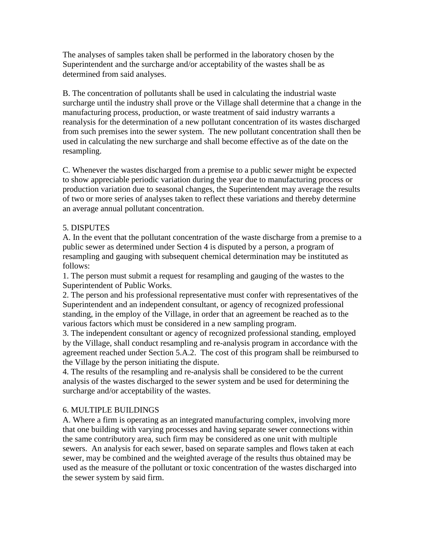The analyses of samples taken shall be performed in the laboratory chosen by the Superintendent and the surcharge and/or acceptability of the wastes shall be as determined from said analyses.

B. The concentration of pollutants shall be used in calculating the industrial waste surcharge until the industry shall prove or the Village shall determine that a change in the manufacturing process, production, or waste treatment of said industry warrants a reanalysis for the determination of a new pollutant concentration of its wastes discharged from such premises into the sewer system. The new pollutant concentration shall then be used in calculating the new surcharge and shall become effective as of the date on the resampling.

C. Whenever the wastes discharged from a premise to a public sewer might be expected to show appreciable periodic variation during the year due to manufacturing process or production variation due to seasonal changes, the Superintendent may average the results of two or more series of analyses taken to reflect these variations and thereby determine an average annual pollutant concentration.

#### 5. DISPUTES

A. In the event that the pollutant concentration of the waste discharge from a premise to a public sewer as determined under Section 4 is disputed by a person, a program of resampling and gauging with subsequent chemical determination may be instituted as follows:

1. The person must submit a request for resampling and gauging of the wastes to the Superintendent of Public Works.

2. The person and his professional representative must confer with representatives of the Superintendent and an independent consultant, or agency of recognized professional standing, in the employ of the Village, in order that an agreement be reached as to the various factors which must be considered in a new sampling program.

3. The independent consultant or agency of recognized professional standing, employed by the Village, shall conduct resampling and re-analysis program in accordance with the agreement reached under Section 5.A.2. The cost of this program shall be reimbursed to the Village by the person initiating the dispute.

4. The results of the resampling and re-analysis shall be considered to be the current analysis of the wastes discharged to the sewer system and be used for determining the surcharge and/or acceptability of the wastes.

# 6. MULTIPLE BUILDINGS

A. Where a firm is operating as an integrated manufacturing complex, involving more that one building with varying processes and having separate sewer connections within the same contributory area, such firm may be considered as one unit with multiple sewers. An analysis for each sewer, based on separate samples and flows taken at each sewer, may be combined and the weighted average of the results thus obtained may be used as the measure of the pollutant or toxic concentration of the wastes discharged into the sewer system by said firm.